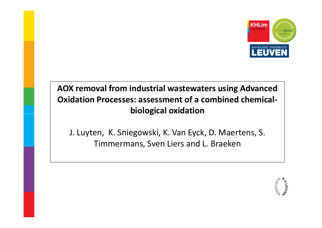

# **AOX removal from industrial wastewaters using Advanced Oxidation Processes: assessment of a combined chemicalbiological oxidation**

J. Luyten, K. Sniegowski, K. Van Eyck, D. Maertens, S. Timmermans, Sven Liers and L. Braeken

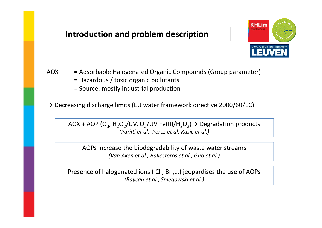### **Introduction and problem description**



- AOX = Adsorbable Halogenated Organic Compounds (Group parameter)
	- = Hazardous / toxic organic pollutants
	- = Source: mostly industrial production

 $\rightarrow$  Decreasing discharge limits (EU water framework directive 2000/60/EC)

AOX + AOP (O<sub>3</sub>, H<sub>2</sub>O<sub>2</sub>/UV, O<sub>3</sub>/UV Fe(II)/H<sub>2</sub>O<sub>2</sub>) $\rightarrow$  Degradation products *(Parilti et al., Perez et al.,Kusic et al.)*

AOPs increase the biodegradability of waste water streams *(Van Aken et al., Ballesteros et al., Guo et al.)*

Presence of halogenated ions ( Cl<sup>-</sup>, Br<sup>-</sup>,...) jeopardises the use of AOPs *(Baycan et al., Sniegowski et al.)*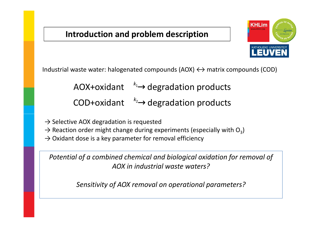### **Introduction and problem description**



Industrial waste water: halogenated compounds  $(AOX) \leftrightarrow$  matrix compounds  $(COD)$ 

1 AOX+oxidant<sup>-k<sub>1</sub> >degradation products</sup>

2 COD+oxidant<sup>-k<sub>2</sub> >degradation products</sup>  $\longleftrightarrow$ <br> $\longleftrightarrow$ 

 $\rightarrow$  Selective AOX degradation is requested

- $\rightarrow$  Reaction order might change during experiments (especially with O<sub>3</sub>)
- $\rightarrow$  Oxidant dose is a key parameter for removal efficiency

*Potential of a combined chemical and biological oxidation for removal of AOX in industrial waste waters?*

*Sensitivity of AOX removal on operational parameters?*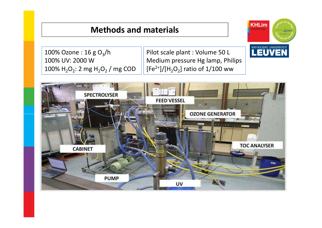### **Methods and materials**

100% Ozone : 16 g O<sub>3</sub>/h 100% UV: 2000 W $\frac{100\% \text{ H}_2\text{O}_2: 2 \text{ mg H}_2\text{O}_2}{\text{mg H}_2\text{O}_2}$  / mg COD

Pilot scale plant : Volume 50 L Medium pressure Hg lamp, Philips $[Fe<sup>2+</sup>]/[H<sub>2</sub>O<sub>2</sub>]$  ratio of 1/100 ww



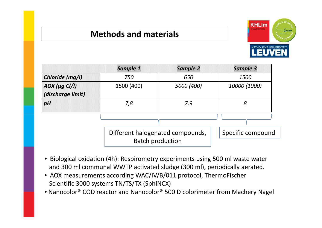### **Methods and materials**



|                   | Sample 1                                                    | <b>Sample 2</b>   | Sample 3     |
|-------------------|-------------------------------------------------------------|-------------------|--------------|
| Chloride (mg/l)   | 750                                                         | 650               | 1500         |
| $AOX$ (µg Cl/l)   | 1500 (400)                                                  | 5000 (400)        | 10000 (1000) |
| (discharge limit) |                                                             |                   |              |
| pH                | 7,8                                                         | 7,9               | 8            |
|                   |                                                             |                   |              |
|                   | Different halogenated compounds,<br><b>Batch production</b> | Specific compound |              |

- Biological oxidation (4h): Respirometry experiments using 500 ml waste water and 300 ml communal WWTP activated sludge (300 ml), periodically aerated.
- AOX measurements according WAC/IV/B/011 protocol, ThermoFischer Scientific 3000 systems TN/TS/TX (SphiNCX)
- Nanocolor® COD reactor and Nanocolor® 500 D colorimeter from Machery Nagel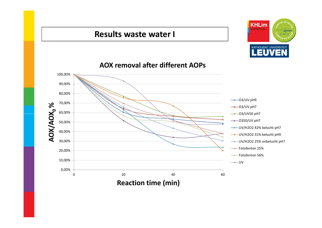### **Results waste water I**





### **AOX removal after different AOPs**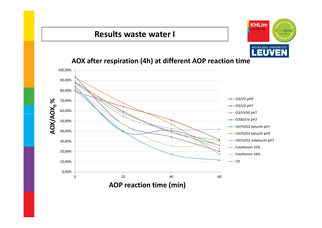### **Results waste water I**



### **AOX after respiration (4h) at different AOP reaction time**

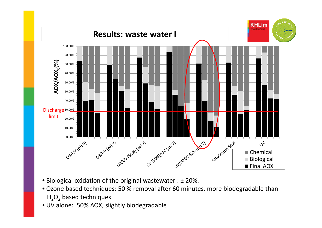

- Biological oxidation of the original wastewater : ± 20%.
- Ozone based techniques: 50 % removal after 60 minutes, more biodegradable than  $H_2O_2$  based techniques
- UV alone: 50% AOX, slightly biodegradable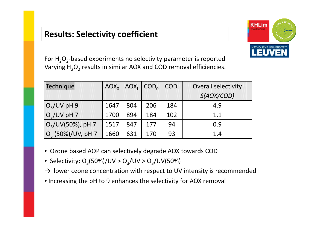### **Results: Selectivity coefficient**



For  $\text{H}_{2}\text{O}_{2}$ -based experiments no selectivity parameter is reported Varying  $H_2O_2$  results in similar AOX and COD removal efficiencies.

| Technique            |      |     | $AOX_0$ $AOX_f$ $COD_0$ | COD <sub>f</sub> | <b>Overall selectivity</b> |  |
|----------------------|------|-----|-------------------------|------------------|----------------------------|--|
|                      |      |     |                         |                  | S(AOX/COD)                 |  |
| $O_3$ /UV pH 9       | 1647 | 804 | 206                     | 184              | 4.9                        |  |
| $O_3$ /UV pH 7       | 1700 | 894 | 184                     | 102              | 1.1                        |  |
| $O_3$ /UV(50%), pH 7 | 1517 | 847 | 177                     | 94               | 0.9                        |  |
| $O_3$ (50%)/UV, pH 7 | 1660 | 631 | 170                     | 93               | 1.4                        |  |

- Ozone based AOP can selectively degrade AOX towards COD
- $\bullet \,$  Selectivity: O $_{3}$ (50%)/UV > O $_{3}$ /UV > O $_{3}$ /UV(50%)
- $\rightarrow$  lower ozone concentration with respect to UV intensity is recommended
- Increasing the pH to 9 enhances the selectivity for AOX removal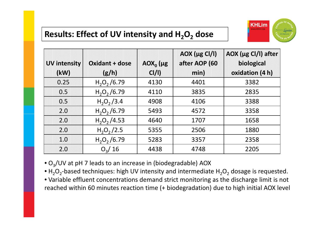#### **Results: Effect of UV intensity and H2O2dose**



|                     |                       |             | $AOX ( \mu g Cl/I)$ | AOX (µg Cl/l) after |
|---------------------|-----------------------|-------------|---------------------|---------------------|
| <b>UV intensity</b> | <b>Oxidant + dose</b> | $AOX_0$ (µg | after AOP (60       | biological          |
| (kW)                | (g/h)                 | CI/I        | min)                | oxidation (4 h)     |
| 0.25                | $H2O2$ /6.79          | 4130        | 4401                | 3382                |
| 0.5                 | $H_2O_2/6.79$         | 4110        | 3835                | 2835                |
| 0.5                 | $H_2O_2/3.4$          | 4908        | 4106                | 3388                |
| 2.0                 | $H_2O_2/6.79$         | 5493        | 4572                | 3358                |
| 2.0                 | $H_2O_2/4.53$         | 4640        | 1707                | 1658                |
| 2.0                 | $H_2O_2/2.5$          | 5355        | 2506                | 1880                |
| 1.0                 | $H_2O_2/6.79$         | 5283        | 3357                | 2358                |
| 2.0                 | $O_3/16$              | 4438        | 4748                | 2205                |

 $\bullet$  O<sub>3</sub>/UV at pH 7 leads to an increase in (biodegradable) AOX

•  $H_2O_2$ -based techniques: high UV intensity and intermediate  $H_2O_2$  dosage is requested.

 • Variable effluent concentrations demand strict monitoring as the discharge limit is not reached within 60 minutes reaction time (+ biodegradation) due to high initial AOX level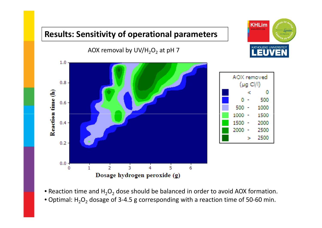## **Results: Sensitivity of operational parameters**

AOX removal by UV/H<sub>2</sub>O<sub>2</sub> at pH 7





- Reaction time and  $H_2O_2$  dose should be balanced in order to avoid AOX formation.
- Optimal: H<sub>2</sub>O<sub>2</sub> dosage of 3-4.5 g corresponding with a reaction time of 50-60 min.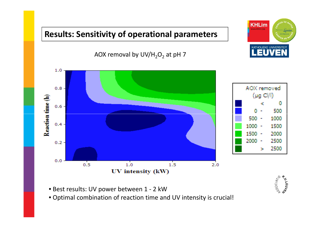# **Results: Sensitivity of operational parameters**







- Best results: UV power between 1 2 kW
- Optimal combination of reaction time and UV intensity is crucial!

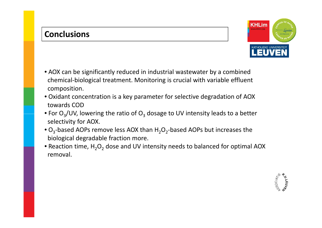### **Conclusions**



- Oxidant concentration is a key parameter for selective degradation of AOXtowards COD
- For  $O_3$ /UV, lowering the ratio of  $O_3$  dosage to UV intensity leads to a better selectivity for AOX.
- $\bullet$  O<sub>3</sub>-based AOPs remove less AOX than  $H_2O_2$ -based AOPs but increases the biological degradable fraction more.
- Reaction time,  $H_2O_2$  dose and UV intensity needs to balanced for optimal AOX removal.